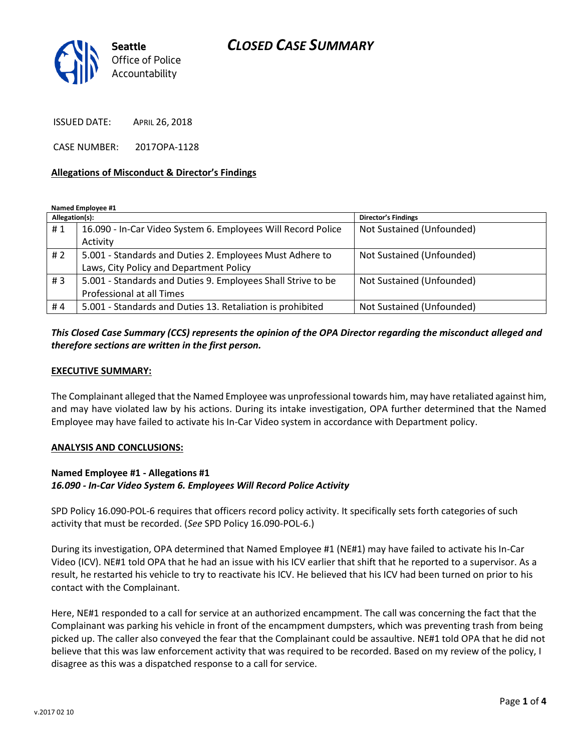# *CLOSED CASE SUMMARY*



ISSUED DATE: APRIL 26, 2018

CASE NUMBER: 2017OPA-1128

#### **Allegations of Misconduct & Director's Findings**

**Named Employee #1**

| Allegation(s): |                                                              | Director's Findings       |
|----------------|--------------------------------------------------------------|---------------------------|
| #1             | 16.090 - In-Car Video System 6. Employees Will Record Police | Not Sustained (Unfounded) |
|                | Activity                                                     |                           |
| #2             | 5.001 - Standards and Duties 2. Employees Must Adhere to     | Not Sustained (Unfounded) |
|                | Laws, City Policy and Department Policy                      |                           |
| #3             | 5.001 - Standards and Duties 9. Employees Shall Strive to be | Not Sustained (Unfounded) |
|                | Professional at all Times                                    |                           |
| #4             | 5.001 - Standards and Duties 13. Retaliation is prohibited   | Not Sustained (Unfounded) |

#### *This Closed Case Summary (CCS) represents the opinion of the OPA Director regarding the misconduct alleged and therefore sections are written in the first person.*

#### **EXECUTIVE SUMMARY:**

The Complainant alleged that the Named Employee was unprofessional towards him, may have retaliated against him, and may have violated law by his actions. During its intake investigation, OPA further determined that the Named Employee may have failed to activate his In-Car Video system in accordance with Department policy.

#### **ANALYSIS AND CONCLUSIONS:**

#### **Named Employee #1 - Allegations #1** *16.090 - In-Car Video System 6. Employees Will Record Police Activity*

SPD Policy 16.090-POL-6 requires that officers record policy activity. It specifically sets forth categories of such activity that must be recorded. (*See* SPD Policy 16.090-POL-6.)

During its investigation, OPA determined that Named Employee #1 (NE#1) may have failed to activate his In-Car Video (ICV). NE#1 told OPA that he had an issue with his ICV earlier that shift that he reported to a supervisor. As a result, he restarted his vehicle to try to reactivate his ICV. He believed that his ICV had been turned on prior to his contact with the Complainant.

Here, NE#1 responded to a call for service at an authorized encampment. The call was concerning the fact that the Complainant was parking his vehicle in front of the encampment dumpsters, which was preventing trash from being picked up. The caller also conveyed the fear that the Complainant could be assaultive. NE#1 told OPA that he did not believe that this was law enforcement activity that was required to be recorded. Based on my review of the policy, I disagree as this was a dispatched response to a call for service.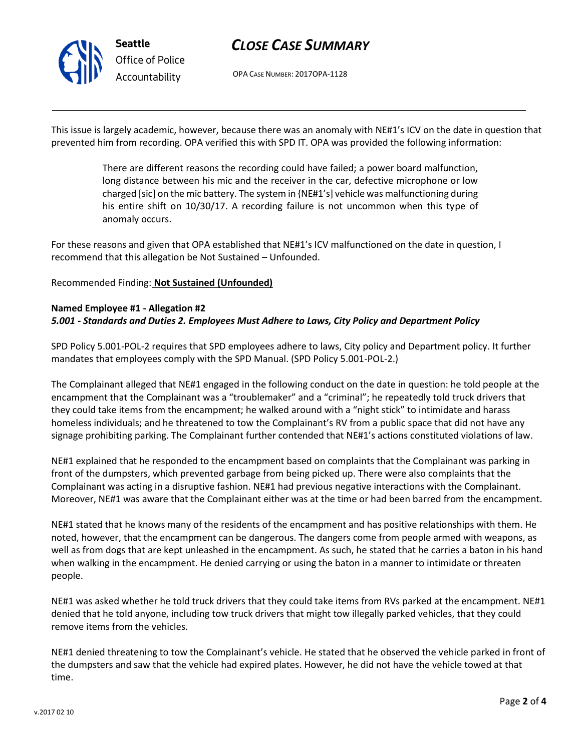

# *CLOSE CASE SUMMARY*

OPA CASE NUMBER: 2017OPA-1128

This issue is largely academic, however, because there was an anomaly with NE#1's ICV on the date in question that prevented him from recording. OPA verified this with SPD IT. OPA was provided the following information:

> There are different reasons the recording could have failed; a power board malfunction, long distance between his mic and the receiver in the car, defective microphone or low charged [sic] on the mic battery. The system in {NE#1's] vehicle was malfunctioning during his entire shift on 10/30/17. A recording failure is not uncommon when this type of anomaly occurs.

For these reasons and given that OPA established that NE#1's ICV malfunctioned on the date in question, I recommend that this allegation be Not Sustained – Unfounded.

#### Recommended Finding: **Not Sustained (Unfounded)**

#### **Named Employee #1 - Allegation #2** *5.001 - Standards and Duties 2. Employees Must Adhere to Laws, City Policy and Department Policy*

SPD Policy 5.001-POL-2 requires that SPD employees adhere to laws, City policy and Department policy. It further mandates that employees comply with the SPD Manual. (SPD Policy 5.001-POL-2.)

The Complainant alleged that NE#1 engaged in the following conduct on the date in question: he told people at the encampment that the Complainant was a "troublemaker" and a "criminal"; he repeatedly told truck drivers that they could take items from the encampment; he walked around with a "night stick" to intimidate and harass homeless individuals; and he threatened to tow the Complainant's RV from a public space that did not have any signage prohibiting parking. The Complainant further contended that NE#1's actions constituted violations of law.

NE#1 explained that he responded to the encampment based on complaints that the Complainant was parking in front of the dumpsters, which prevented garbage from being picked up. There were also complaints that the Complainant was acting in a disruptive fashion. NE#1 had previous negative interactions with the Complainant. Moreover, NE#1 was aware that the Complainant either was at the time or had been barred from the encampment.

NE#1 stated that he knows many of the residents of the encampment and has positive relationships with them. He noted, however, that the encampment can be dangerous. The dangers come from people armed with weapons, as well as from dogs that are kept unleashed in the encampment. As such, he stated that he carries a baton in his hand when walking in the encampment. He denied carrying or using the baton in a manner to intimidate or threaten people.

NE#1 was asked whether he told truck drivers that they could take items from RVs parked at the encampment. NE#1 denied that he told anyone, including tow truck drivers that might tow illegally parked vehicles, that they could remove items from the vehicles.

NE#1 denied threatening to tow the Complainant's vehicle. He stated that he observed the vehicle parked in front of the dumpsters and saw that the vehicle had expired plates. However, he did not have the vehicle towed at that time.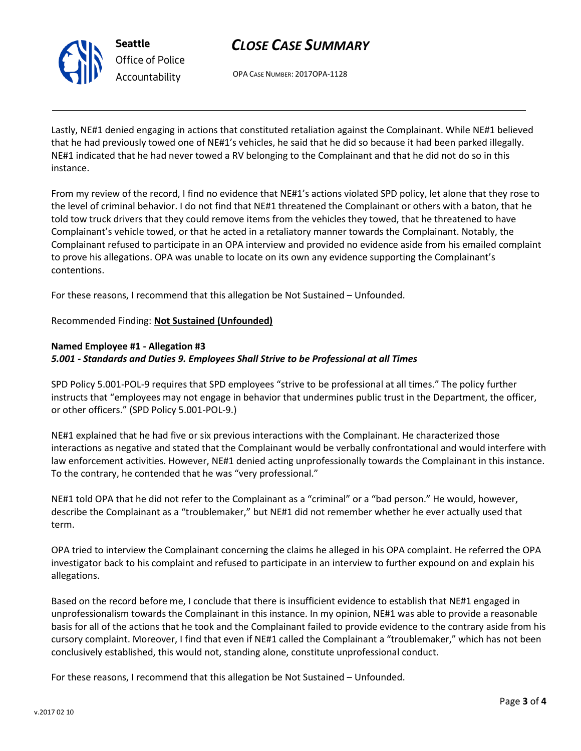

**Seattle** *Office of Police Accountability*

# *CLOSE CASE SUMMARY*

OPA CASE NUMBER: 2017OPA-1128

Lastly, NE#1 denied engaging in actions that constituted retaliation against the Complainant. While NE#1 believed that he had previously towed one of NE#1's vehicles, he said that he did so because it had been parked illegally. NE#1 indicated that he had never towed a RV belonging to the Complainant and that he did not do so in this instance.

From my review of the record, I find no evidence that NE#1's actions violated SPD policy, let alone that they rose to the level of criminal behavior. I do not find that NE#1 threatened the Complainant or others with a baton, that he told tow truck drivers that they could remove items from the vehicles they towed, that he threatened to have Complainant's vehicle towed, or that he acted in a retaliatory manner towards the Complainant. Notably, the Complainant refused to participate in an OPA interview and provided no evidence aside from his emailed complaint to prove his allegations. OPA was unable to locate on its own any evidence supporting the Complainant's contentions.

For these reasons, I recommend that this allegation be Not Sustained – Unfounded.

## Recommended Finding: **Not Sustained (Unfounded)**

## **Named Employee #1 - Allegation #3** *5.001 - Standards and Duties 9. Employees Shall Strive to be Professional at all Times*

SPD Policy 5.001-POL-9 requires that SPD employees "strive to be professional at all times." The policy further instructs that "employees may not engage in behavior that undermines public trust in the Department, the officer, or other officers." (SPD Policy 5.001-POL-9.)

NE#1 explained that he had five or six previous interactions with the Complainant. He characterized those interactions as negative and stated that the Complainant would be verbally confrontational and would interfere with law enforcement activities. However, NE#1 denied acting unprofessionally towards the Complainant in this instance. To the contrary, he contended that he was "very professional."

NE#1 told OPA that he did not refer to the Complainant as a "criminal" or a "bad person." He would, however, describe the Complainant as a "troublemaker," but NE#1 did not remember whether he ever actually used that term.

OPA tried to interview the Complainant concerning the claims he alleged in his OPA complaint. He referred the OPA investigator back to his complaint and refused to participate in an interview to further expound on and explain his allegations.

Based on the record before me, I conclude that there is insufficient evidence to establish that NE#1 engaged in unprofessionalism towards the Complainant in this instance. In my opinion, NE#1 was able to provide a reasonable basis for all of the actions that he took and the Complainant failed to provide evidence to the contrary aside from his cursory complaint. Moreover, I find that even if NE#1 called the Complainant a "troublemaker," which has not been conclusively established, this would not, standing alone, constitute unprofessional conduct.

For these reasons, I recommend that this allegation be Not Sustained – Unfounded.